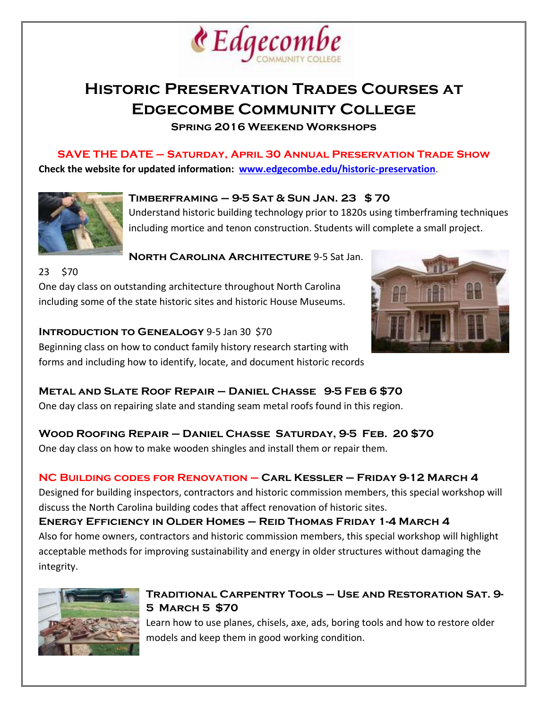

# **Historic Preservation Trades Courses at Edgecombe Community College**

**Spring 2016 Weekend Workshops**

**SAVE THE DATE – Saturday, April 30 Annual Preservation Trade Show Check the website for updated information: [www.edgecombe.edu/historic-preservation](http://www.edgecombe.edu/historic-preservation)**.



#### **Timberframing – 9-5 Sat & Sun Jan. 23 \$ 70**

Understand historic building technology prior to 1820s using timberframing techniques including mortice and tenon construction. Students will complete a small project.

23 \$70 One day class on outstanding architecture throughout North Carolina including some of the state historic sites and historic House Museums.

#### **INTRODUCTION TO GENEALOGY** 9-5 Jan 30 \$70

Beginning class on how to conduct family history research starting with forms and including how to identify, locate, and document historic records



## **Metal and Slate Roof Repair – Daniel Chasse 9-5 Feb 6 \$70**

One day class on repairing slate and standing seam metal roofs found in this region.

## **Wood Roofing Repair – Daniel Chasse Saturday, 9-5 Feb. 20 \$70**

One day class on how to make wooden shingles and install them or repair them.

## **NC Building codes for Renovation – Carl Kessler – Friday 9-12 March 4**

Designed for building inspectors, contractors and historic commission members, this special workshop will discuss the North Carolina building codes that affect renovation of historic sites.

## **Energy Efficiency in Older Homes – Reid Thomas Friday 1-4 March 4**

Also for home owners, contractors and historic commission members, this special workshop will highlight acceptable methods for improving sustainability and energy in older structures without damaging the integrity.



## **Traditional Carpentry Tools – Use and Restoration Sat. 9- 5 March 5 \$70**

Learn how to use planes, chisels, axe, ads, boring tools and how to restore older models and keep them in good working condition.